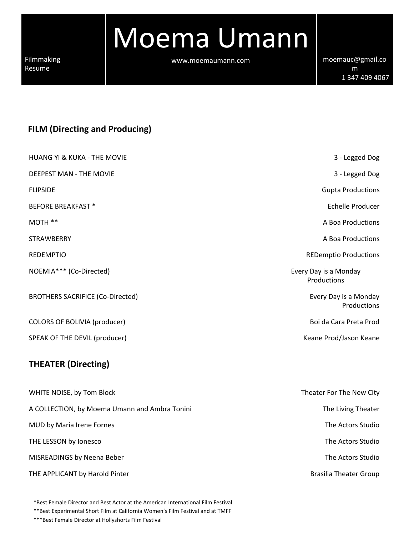Moema Umann

www.moemaumann.com [moemauc@gmail.co](mailto:moemauc@gmail.com)m

[m](mailto:moemauc@gmail.com) 1 347 409 4067

# **FILM (Directing and Producing)**

| <b>HUANG YI &amp; KUKA - THE MOVIE</b>        | 3 - Legged Dog                       |
|-----------------------------------------------|--------------------------------------|
| DEEPEST MAN - THE MOVIE                       | 3 - Legged Dog                       |
| <b>FLIPSIDE</b>                               | <b>Gupta Productions</b>             |
| <b>BEFORE BREAKFAST *</b>                     | Echelle Producer                     |
| MOTH **                                       | A Boa Productions                    |
| <b>STRAWBERRY</b>                             | A Boa Productions                    |
| <b>REDEMPTIO</b>                              | <b>REDemptio Productions</b>         |
| NOEMIA*** (Co-Directed)                       | Every Day is a Monday<br>Productions |
| <b>BROTHERS SACRIFICE (Co-Directed)</b>       | Every Day is a Monday<br>Productions |
| COLORS OF BOLIVIA (producer)                  | Boi da Cara Preta Prod               |
| SPEAK OF THE DEVIL (producer)                 | Keane Prod/Jason Keane               |
| <b>THEATER (Directing)</b>                    |                                      |
| WHITE NOISE, by Tom Block                     | Theater For The New City             |
| A COLLECTION, by Moema Umann and Ambra Tonini | The Living Theater                   |
| MUD by Maria Irene Fornes                     | The Actors Studio                    |
| THE LESSON by Ionesco                         | The Actors Studio                    |
| MISREADINGS by Neena Beber                    | The Actors Studio                    |
| THE APPLICANT by Harold Pinter                | <b>Brasilia Theater Group</b>        |

\*Best Female Director and Best Actor at the American International Film Festival

\*\*Best Experimental Short Film at California Women's Film Festival and at TMFF

\*\*\*Best Female Director at Hollyshorts Film Festival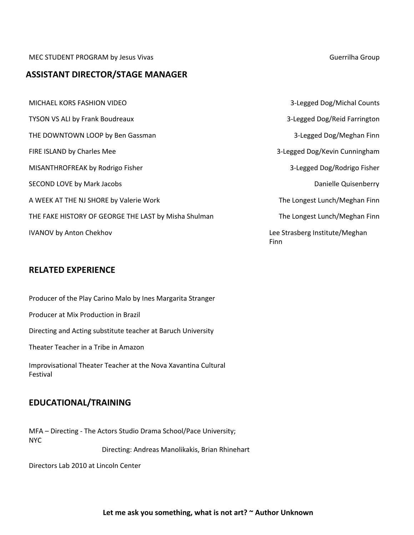MEC STUDENT PROGRAM by Jesus Vivas Guerrilha Group Current and American Current Assembly Guerrilha Group

### **ASSISTANT DIRECTOR/STAGE MANAGER**

MICHAEL KORS FASHION VIDEO 3Legged Dog/Michal Counts TYSON VS ALI by Frank Boudreaux THE DOWNTOWN LOOP by Ben Gassman FIRE ISLAND by Charles Mee MISANTHROFREAK by Rodrigo Fisher SECOND LOVE by Mark Jacobs A WEEK AT THE NJ SHORE by Valerie Work THE FAKE HISTORY OF GEORGE THE LAST by Misha Shulman IVANOV by Anton Chekhov

## **RELATED EXPERIENCE**

Producer of the Play Carino Malo by Ines Margarita Stranger Producer at Mix Production in Brazil Directing and Acting substitute teacher at Baruch University Theater Teacher in a Tribe in Amazon Improvisational Theater Teacher at the Nova Xavantina Cultural Festival

## **EDUCATIONAL/TRAINING**

MFA - Directing - The Actors Studio Drama School/Pace University; NYC Directing: Andreas Manolikakis, Brian Rhinehart

Directors Lab 2010 at Lincoln Center

|      | 3-Legged Dog/Reid Farrington   |
|------|--------------------------------|
|      | 3-Legged Dog/Meghan Finn       |
|      | 3-Legged Dog/Kevin Cunningham  |
|      | 3-Legged Dog/Rodrigo Fisher    |
|      | Danielle Quisenberry           |
|      | The Longest Lunch/Meghan Finn  |
|      | The Longest Lunch/Meghan Finn  |
| Finn | Lee Strasberg Institute/Meghan |